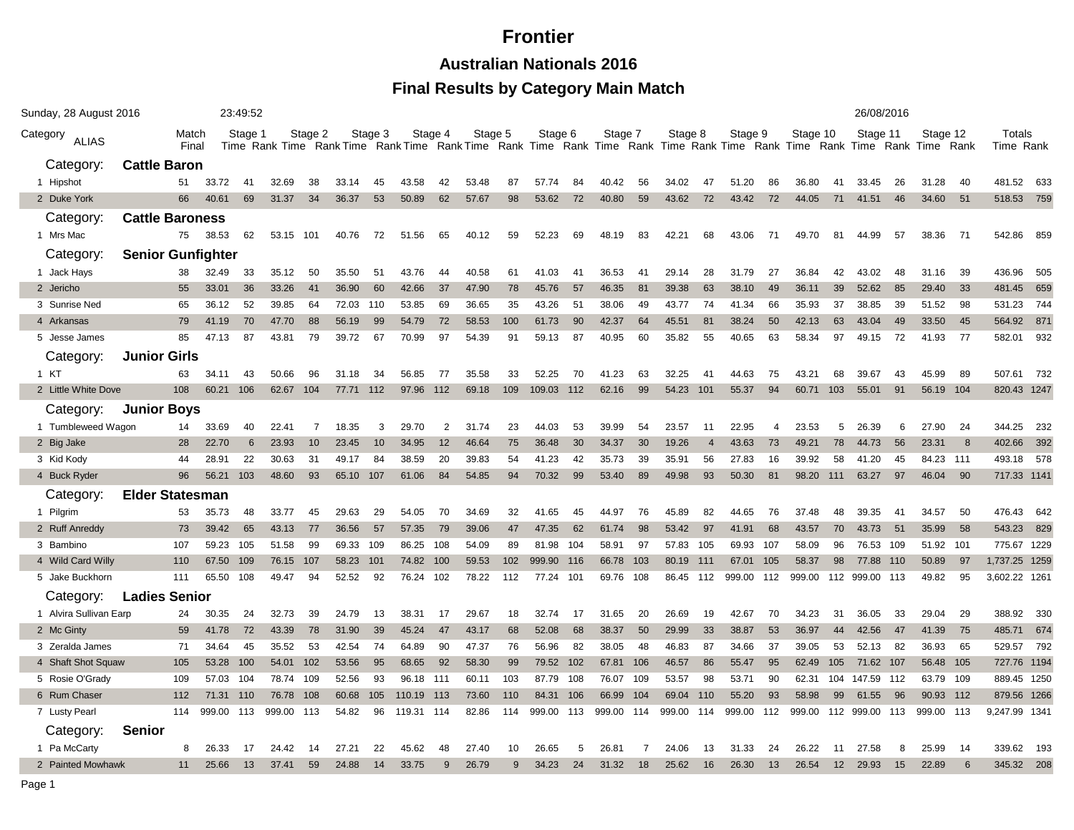**Australian Nationals 2016**

| Sunday, 28 August 2016   |                          |                |        | 23:49:52 |           |         |           |         |        |         |         |     |         |     |         |     |         |                |         |                |                                                                                                                                     |     | 26/08/2016 |     |          |     |                     |       |
|--------------------------|--------------------------|----------------|--------|----------|-----------|---------|-----------|---------|--------|---------|---------|-----|---------|-----|---------|-----|---------|----------------|---------|----------------|-------------------------------------------------------------------------------------------------------------------------------------|-----|------------|-----|----------|-----|---------------------|-------|
| Category<br><b>ALIAS</b> |                          | Match<br>Final |        | Stage 1  |           | Stage 2 |           | Stage 3 |        | Stage 4 | Stage 5 |     | Stage 6 |     | Stage 7 |     | Stage 8 |                | Stage 9 |                | Stage 10<br>Time Rank Time Rank Time Rank Time Rank Time Rank Time Rank Time Rank Time Rank Time Rank Time Rank Time Rank Time Rank |     | Stage 11   |     | Stage 12 |     | Totals<br>Time Rank |       |
| Category:                | <b>Cattle Baron</b>      |                |        |          |           |         |           |         |        |         |         |     |         |     |         |     |         |                |         |                |                                                                                                                                     |     |            |     |          |     |                     |       |
| 1 Hipshot                |                          | 51             | 33.72  | 41       | 32.69     | 38      | 33.14     | 45      | 43.58  | 42      | 53.48   | 87  | 57.74   | 84  | 40.42   | 56  | 34.02   | 47             | 51.20   | 86             | 36.80                                                                                                                               | 41  | 33.45      | 26  | 31.28    | 40  | 481.52              | 633   |
| 2 Duke York              |                          | 66             | 40.61  | 69       | 31.37     | 34      | 36.37     | 53      | 50.89  | 62      | 57.67   | 98  | 53.62   | 72  | 40.80   | 59  | 43.62   | 72             | 43.42   | 72             | 44.05                                                                                                                               | 71  | 41.51      | 46  | 34.60    | 51  | 518.53 759          |       |
| Category:                | <b>Cattle Baroness</b>   |                |        |          |           |         |           |         |        |         |         |     |         |     |         |     |         |                |         |                |                                                                                                                                     |     |            |     |          |     |                     |       |
| 1 Mrs Mac                |                          | 75             | 38.53  | 62       | 53.15 101 |         | 40.76     | 72      | 51.56  | 65      | 40.12   | 59  | 52.23   | 69  | 48.19   | 83  | 42.21   | 68             | 43.06   | 71             | 49.70                                                                                                                               | 81  | 44.99      | 57  | 38.36    | -71 | 542.86              | 859   |
| Category:                | <b>Senior Gunfighter</b> |                |        |          |           |         |           |         |        |         |         |     |         |     |         |     |         |                |         |                |                                                                                                                                     |     |            |     |          |     |                     |       |
| 1 Jack Hays              |                          | 38             | 32.49  | 33       | 35.12     | 50      | 35.50     | 51      | 43.76  | 44      | 40.58   | 61  | 41.03   | 41  | 36.53   | 41  | 29.14   | 28             | 31.79   | 27             | 36.84                                                                                                                               | 42  | 43.02      | 48  | 31.16    | 39  | 436.96              | 505   |
| 2 Jericho                |                          | 55             | 33.01  | 36       | 33.26     | 41      | 36.90     | 60      | 42.66  | 37      | 47.90   | 78  | 45.76   | 57  | 46.35   | 81  | 39.38   | 63             | 38.10   | 49             | 36.11                                                                                                                               | 39  | 52.62      | 85  | 29.40    | 33  | 481.45              | 659   |
| 3 Sunrise Ned            |                          | 65             | 36.12  | 52       | 39.85     | 64      | 72.03     | 110     | 53.85  | 69      | 36.65   | 35  | 43.26   | 51  | 38.06   | 49  | 43.77   | 74             | 41.34   | 66             | 35.93                                                                                                                               | 37  | 38.85      | 39  | 51.52    | 98  | 531.23              | 744   |
| 4 Arkansas               |                          | 79             | 41.19  | 70       | 47.70     | 88      | 56.19     | 99      | 54.79  | 72      | 58.53   | 100 | 61.73   | 90  | 42.37   | 64  | 45.51   | 81             | 38.24   | 50             | 42.13                                                                                                                               | 63  | 43.04      | 49  | 33.50    | 45  | 564.92              | 871   |
| 5 Jesse James            |                          | 85             | 47.13  | 87       | 43.81     | 79      | 39.72     | 67      | 70.99  | 97      | 54.39   | 91  | 59.13   | 87  | 40.95   | 60  | 35.82   | 55             | 40.65   | 63             | 58.34                                                                                                                               | 97  | 49.15      | 72  | 41.93    | 77  | 582.01              | 932   |
| Category:                | <b>Junior Girls</b>      |                |        |          |           |         |           |         |        |         |         |     |         |     |         |     |         |                |         |                |                                                                                                                                     |     |            |     |          |     |                     |       |
| 1 KT                     |                          | 63             | 34.11  | 43       | 50.66     | 96      | 31.18     | 34      | 56.85  | 77      | 35.58   | 33  | 52.25   | 70  | 41.23   | 63  | 32.25   | -41            | 44.63   | 75             | 43.21                                                                                                                               | 68  | 39.67      | 43  | 45.99    | 89  | 507.61 732          |       |
| 2 Little White Dove      |                          | 108            | 60.21  | 106      | 62.67     | 104     | 77.71     | 112     | 97.96  | 112     | 69.18   | 109 | 109.03  | 112 | 62.16   | 99  | 54.23   | 101            | 55.37   | 94             | 60.71                                                                                                                               | 103 | 55.01      | 91  | 56.19    | 104 | 820.43 1247         |       |
| Category:                | <b>Junior Boys</b>       |                |        |          |           |         |           |         |        |         |         |     |         |     |         |     |         |                |         |                |                                                                                                                                     |     |            |     |          |     |                     |       |
| 1 Tumbleweed Wagon       |                          | 14             | 33.69  | 40       | 22.41     | 7       | 18.35     | 3       | 29.70  | 2       | 31.74   | 23  | 44.03   | 53  | 39.99   | 54  | 23.57   | 11             | 22.95   | $\overline{4}$ | 23.53                                                                                                                               | 5   | 26.39      | 6   | 27.90    | 24  | 344.25              | - 232 |
| 2 Big Jake               |                          | 28             | 22.70  | 6        | 23.93     | 10      | 23.45     | 10      | 34.95  | 12      | 46.64   | 75  | 36.48   | 30  | 34.37   | 30  | 19.26   | $\overline{4}$ | 43.63   | 73             | 49.21                                                                                                                               | 78  | 44.73      | 56  | 23.31    | 8   | 402.66              | 392   |
| 3 Kid Kody               |                          | 44             | 28.91  | 22       | 30.63     | 31      | 49.17     | 84      | 38.59  | 20      | 39.83   | 54  | 41.23   | 42  | 35.73   | 39  | 35.91   | 56             | 27.83   | 16             | 39.92                                                                                                                               | 58  | 41.20      | 45  | 84.23    | 111 | 493.18 578          |       |
| 4 Buck Ryder             |                          | 96             | 56.21  | 103      | 48.60     | 93      | 65.10 107 |         | 61.06  | 84      | 54.85   | 94  | 70.32   | 99  | 53.40   | 89  | 49.98   | 93             | 50.30   | 81             | 98.20 111                                                                                                                           |     | 63.27      | 97  | 46.04    | 90  | 717.33 1141         |       |
| Category:                | <b>Elder Statesman</b>   |                |        |          |           |         |           |         |        |         |         |     |         |     |         |     |         |                |         |                |                                                                                                                                     |     |            |     |          |     |                     |       |
| 1 Pilgrim                |                          | 53             | 35.73  | 48       | 33.77     | 45      | 29.63     | 29      | 54.05  | 70      | 34.69   | 32  | 41.65   | 45  | 44.97   | 76  | 45.89   | 82             | 44.65   | 76             | 37.48                                                                                                                               | 48  | 39.35      | 41  | 34.57    | 50  | 476.43              | 642   |
| 2 Ruff Anreddy           |                          | 73             | 39.42  | 65       | 43.13     | 77      | 36.56     | 57      | 57.35  | 79      | 39.06   | 47  | 47.35   | 62  | 61.74   | 98  | 53.42   | 97             | 41.91   | 68             | 43.57                                                                                                                               | 70  | 43.73      | 51  | 35.99    | 58  | 543.23              | 829   |
| 3 Bambino                |                          | 107            | 59.23  | 105      | 51.58     | 99      | 69.33     | 109     | 86.25  | 108     | 54.09   | 89  | 81.98   | 104 | 58.91   | 97  | 57.83   | 105            | 69.93   | 107            | 58.09                                                                                                                               | 96  | 76.53      | 109 | 51.92    | 101 | 775.67 1229         |       |
| 4 Wild Card Willy        |                          | 110            | 67.50  | 109      | 76.15     | 107     | 58.23     | 101     | 74.82  | 100     | 59.53   | 102 | 999.90  | 116 | 66.78   | 103 | 80.19   | 111            | 67.01   | 105            | 58.37                                                                                                                               | 98  | 77.88      | 110 | 50.89    | 97  | 1,737.25 1259       |       |
| 5 Jake Buckhorn          |                          | 111            | 65.50  | 108      | 49.47     | 94      | 52.52     | 92      | 76.24  | 102     | 78.22   | 112 | 77.24   | 101 | 69.76   | 108 | 86.45   | 112            | 999.00  | 112            | 999.00                                                                                                                              | 112 | 999.00     | 113 | 49.82    | 95  | 3,602.22 1261       |       |
| Category:                | <b>Ladies Senior</b>     |                |        |          |           |         |           |         |        |         |         |     |         |     |         |     |         |                |         |                |                                                                                                                                     |     |            |     |          |     |                     |       |
| 1 Alvira Sullivan Earp   |                          | 24             | 30.35  | 24       | 32.73     | 39      | 24.79     | 13      | 38.31  | 17      | 29.67   | 18  | 32.74   | 17  | 31.65   | 20  | 26.69   | 19             | 42.67   | 70             | 34.23                                                                                                                               | 31  | 36.05      | 33  | 29.04    | 29  | 388.92              | 330   |
| 2 Mc Ginty               |                          | 59             | 41.78  | 72       | 43.39     | 78      | 31.90     | 39      | 45.24  | 47      | 43.17   | 68  | 52.08   | 68  | 38.37   | 50  | 29.99   | 33             | 38.87   | 53             | 36.97                                                                                                                               | 44  | 42.56      | 47  | 41.39    | 75  | 485.71              | 674   |
| 3 Zeralda James          |                          | 71             | 34.64  | 45       | 35.52     | 53      | 42.54     | 74      | 64.89  | 90      | 47.37   | 76  | 56.96   | 82  | 38.05   | 48  | 46.83   | 87             | 34.66   | 37             | 39.05                                                                                                                               | 53  | 52.13      | 82  | 36.93    | 65  | 529.57              | 792   |
| 4 Shaft Shot Squaw       |                          | 105            | 53.28  | 100      | 54.01     | 102     | 53.56     | 95      | 68.65  | 92      | 58.30   | 99  | 79.52   | 102 | 67.81   | 106 | 46.57   | 86             | 55.47   | 95             | 62.49                                                                                                                               | 105 | 71.62      | 107 | 56.48    | 105 | 727.76 1194         |       |
| 5 Rosie O'Grady          |                          | 109            | 57.03  | 104      | 78.74     | 109     | 52.56     | 93      | 96.18  | 111     | 60.11   | 103 | 87.79   | 108 | 76.07   | 109 | 53.57   | 98             | 53.71   | 90             | 62.31                                                                                                                               | 104 | 147.59     | 112 | 63.79    | 109 | 889.45 1250         |       |
| 6 Rum Chaser             |                          | 112            | 71.31  | 110      | 76.78     | 108     | 60.68     | 105     | 110.19 | -113    | 73.60   | 110 | 84.31   | 106 | 66.99   | 104 | 69.04   | 110            | 55.20   | 93             | 58.98                                                                                                                               | 99  | 61.55      | 96  | 90.93    | 112 | 879.56 1266         |       |
| 7 Lusty Pearl            |                          | 114            | 999.00 | 113      | 999.00    | 113     | 54.82     | 96      | 119.31 | 114     | 82.86   | 114 | 999.00  | 113 | 999.00  | 114 | 999.00  | 114            | 999.00  | 112            | 999.00                                                                                                                              | 112 | 999.00     | 113 | 999.00   | 113 | 9.247.99 1341       |       |
| Category:                | <b>Senior</b>            |                |        |          |           |         |           |         |        |         |         |     |         |     |         |     |         |                |         |                |                                                                                                                                     |     |            |     |          |     |                     |       |
| 1 Pa McCarty             |                          | 8              | 26.33  | 17       | 24.42     | -14     | 27.21     | 22      | 45.62  | 48      | 27.40   | 10  | 26.65   | 5   | 26.81   | -7  | 24.06   | 13             | 31.33   | 24             | 26.22                                                                                                                               | -11 | 27.58      | 8   | 25.99    | 14  | 339.62              | 193   |
| 2 Painted Mowhawk        |                          | 11             | 25.66  | 13       | 37.41     | 59      | 24.88     | 14      | 33.75  | 9       | 26.79   | 9   | 34.23   | 24  | 31.32   | 18  | 25.62   | 16             | 26.30   | 13             | 26.54                                                                                                                               | 12  | 29.93      | 15  | 22.89    | 6   | 345.32 208          |       |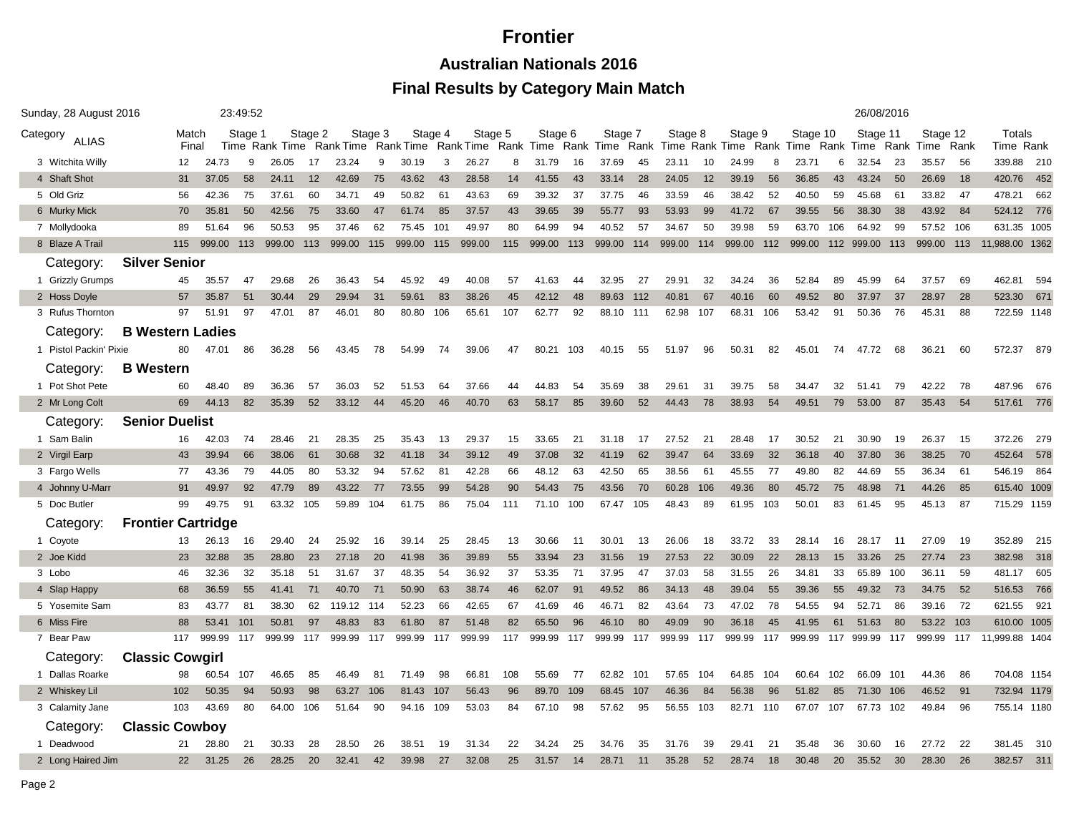**Australian Nationals 2016**

| Sunday, 28 August 2016   |                           |                |        | 23:49:52 |                |         |           |         |            |         |         |     |           |     |         |      |                                                                                                           |     | 26/08/2016 |     |          |     |                       |     |          |     |                     |     |
|--------------------------|---------------------------|----------------|--------|----------|----------------|---------|-----------|---------|------------|---------|---------|-----|-----------|-----|---------|------|-----------------------------------------------------------------------------------------------------------|-----|------------|-----|----------|-----|-----------------------|-----|----------|-----|---------------------|-----|
| Category<br><b>ALIAS</b> |                           | Match<br>Final |        | Stage 1  | Time Rank Time | Stage 2 | Rank Time | Stage 3 |            | Stage 4 | Stage 5 |     | Stage 6   |     | Stage 7 |      | Stage 8<br>RankTime RankTime RankTime RankTime RankTime RankTime RankTime RankTime RankTime RankTime Rank |     | Stage 9    |     | Stage 10 |     | Stage 11              |     | Stage 12 |     | Totals<br>Time Rank |     |
| 3 Witchita Willy         |                           | 12             | 24.73  | 9        | 26.05          | 17      | 23.24     | 9       | 30.19      | 3       | 26.27   | 8   | 31.79     | 16  | 37.69   | 45   | 23.11                                                                                                     | 10  | 24.99      | 8   | 23.71    | 6   | 32.54                 | 23  | 35.57    | 56  | 339.88              | 210 |
| 4 Shaft Shot             |                           | 31             | 37.05  | 58       | 24.11          | 12      | 42.69     | 75      | 43.62      | 43      | 28.58   | 14  | 41.55     | 43  | 33.14   | 28   | 24.05                                                                                                     | 12  | 39.19      | 56  | 36.85    | 43  | 43.24                 | 50  | 26.69    | 18  | 420.76              | 452 |
| 5 Old Griz               |                           | 56             | 42.36  | 75       | 37.61          | 60      | 34.71     | 49      | 50.82      | 61      | 43.63   | 69  | 39.32     | 37  | 37.75   | 46   | 33.59                                                                                                     | 46  | 38.42      | 52  | 40.50    | 59  | 45.68                 | 61  | 33.82    | 47  | 478.21              | 662 |
| 6 Murky Mick             |                           | 70             | 35.81  | 50       | 42.56          | 75      | 33.60     | 47      | 61.74      | 85      | 37.57   | 43  | 39.65     | 39  | 55.77   | 93   | 53.93                                                                                                     | 99  | 41.72      | 67  | 39.55    | 56  | 38.30                 | 38  | 43.92    | 84  | 524.12 776          |     |
| 7 Mollydooka             |                           | 89             | 51.64  | 96       | 50.53          | 95      | 37.46     | 62      | 75.45      | 101     | 49.97   | 80  | 64.99     | 94  | 40.52   | 57   | 34.67                                                                                                     | 50  | 39.98      | 59  | 63.70    | 106 | 64.92                 | 99  | 57.52    | 106 | 631.35 1005         |     |
| 8 Blaze A Trail          |                           | 115            | 999.00 | 113      | 999.00         | 113     | 999.00    |         | 115 999.00 | 115     | 999.00  | 115 | 999.00    | 113 | 999.00  | 114  | 999.00                                                                                                    | 114 | 999.00     | 112 |          |     | 999.00 112 999.00 113 |     | 999.00   | 113 | 11,988.00 1362      |     |
| Category:                | <b>Silver Senior</b>      |                |        |          |                |         |           |         |            |         |         |     |           |     |         |      |                                                                                                           |     |            |     |          |     |                       |     |          |     |                     |     |
| 1 Grizzly Grumps         |                           | 45             | 35.57  | 47       | 29.68          | 26      | 36.43     | 54      | 45.92      | 49      | 40.08   | 57  | 41.63     | 44  | 32.95   | 27   | 29.91                                                                                                     | 32  | 34.24      | 36  | 52.84    | 89  | 45.99                 | 64  | 37.57    | 69  | 462.81              | 594 |
| 2 Hoss Doyle             |                           | 57             | 35.87  | 51       | 30.44          | 29      | 29.94     | 31      | 59.61      | 83      | 38.26   | 45  | 42.12     | 48  | 89.63   | 112  | 40.81                                                                                                     | 67  | 40.16      | 60  | 49.52    | 80  | 37.97                 | 37  | 28.97    | 28  | 523.30              | 671 |
| 3 Rufus Thornton         |                           | 97             | 51.91  | 97       | 47.01          | 87      | 46.01     | 80      | 80.80      | 106     | 65.61   | 107 | 62.77     | 92  | 88.10   | -111 | 62.98                                                                                                     | 107 | 68.31      | 106 | 53.42    | 91  | 50.36                 | 76  | 45.31    | 88  | 722.59 1148         |     |
| Category:                | <b>B Western Ladies</b>   |                |        |          |                |         |           |         |            |         |         |     |           |     |         |      |                                                                                                           |     |            |     |          |     |                       |     |          |     |                     |     |
| 1 Pistol Packin' Pixie   |                           | 80             | 47.01  | 86       | 36.28          | 56      | 43.45     | 78      | 54.99      | 74      | 39.06   | 47  | 80.21     | 103 | 40.15   | 55   | 51.97                                                                                                     | 96  | 50.31      | 82  | 45.01    | 74  | 47.72                 | 68  | 36.21    | 60  | 572.37              | 879 |
| Category:                | <b>B</b> Western          |                |        |          |                |         |           |         |            |         |         |     |           |     |         |      |                                                                                                           |     |            |     |          |     |                       |     |          |     |                     |     |
| 1 Pot Shot Pete          |                           | 60             | 48.40  | 89       | 36.36          | 57      | 36.03     | 52      | 51.53      | 64      | 37.66   | 44  | 44.83     | 54  | 35.69   | 38   | 29.61                                                                                                     | 31  | 39.75      | 58  | 34.47    | 32  | 51.41                 | 79  | 42.22    | 78  | 487.96              | 676 |
| 2 Mr Long Colt           |                           | 69             | 44.13  | 82       | 35.39          | 52      | 33.12     | 44      | 45.20      | 46      | 40.70   | 63  | 58.17     | 85  | 39.60   | 52   | 44.43                                                                                                     | 78  | 38.93      | 54  | 49.51    | 79  | 53.00                 | 87  | 35.43    | 54  | 517.61 776          |     |
| Category:                | <b>Senior Duelist</b>     |                |        |          |                |         |           |         |            |         |         |     |           |     |         |      |                                                                                                           |     |            |     |          |     |                       |     |          |     |                     |     |
| 1 Sam Balin              |                           | 16             | 42.03  | 74       | 28.46          | 21      | 28.35     | 25      | 35.43      | 13      | 29.37   | 15  | 33.65     | 21  | 31.18   | 17   | 27.52                                                                                                     | 21  | 28.48      | 17  | 30.52    | 21  | 30.90                 | 19  | 26.37    | 15  | 372.26              | 279 |
| 2 Virgil Earp            |                           | 43             | 39.94  | 66       | 38.06          | 61      | 30.68     | 32      | 41.18      | 34      | 39.12   | 49  | 37.08     | 32  | 41.19   | 62   | 39.47                                                                                                     | 64  | 33.69      | 32  | 36.18    | 40  | 37.80                 | 36  | 38.25    | 70  | 452.64              | 578 |
| 3 Fargo Wells            |                           | 77             | 43.36  | 79       | 44.05          | 80      | 53.32     | 94      | 57.62      | 81      | 42.28   | 66  | 48.12     | 63  | 42.50   | 65   | 38.56                                                                                                     | 61  | 45.55      | 77  | 49.80    | 82  | 44.69                 | 55  | 36.34    | 61  | 546.19 864          |     |
| 4 Johnny U-Marr          |                           | 91             | 49.97  | 92       | 47.79          | 89      | 43.22     | 77      | 73.55      | 99      | 54.28   | 90  | 54.43     | 75  | 43.56   | 70   | 60.28                                                                                                     | 106 | 49.36      | 80  | 45.72    | 75  | 48.98                 | 71  | 44.26    | 85  | 615.40 1009         |     |
| 5 Doc Butler             |                           | 99             | 49.75  | 91       | 63.32          | 105     | 59.89     | 104     | 61.75      | 86      | 75.04   | 111 | 71.10 100 |     | 67.47   | 105  | 48.43                                                                                                     | 89  | 61.95      | 103 | 50.01    | 83  | 61.45                 | 95  | 45.13    | 87  | 715.29 1159         |     |
| Category:                | <b>Frontier Cartridge</b> |                |        |          |                |         |           |         |            |         |         |     |           |     |         |      |                                                                                                           |     |            |     |          |     |                       |     |          |     |                     |     |
| 1 Coyote                 |                           | 13             | 26.13  | 16       | 29.40          | 24      | 25.92     | 16      | 39.14      | 25      | 28.45   | 13  | 30.66     | 11  | 30.01   | 13   | 26.06                                                                                                     | 18  | 33.72      | 33  | 28.14    | 16  | 28.17                 | 11  | 27.09    | 19  | 352.89              | 215 |
| 2 Joe Kidd               |                           | 23             | 32.88  | 35       | 28.80          | 23      | 27.18     | 20      | 41.98      | 36      | 39.89   | 55  | 33.94     | 23  | 31.56   | 19   | 27.53                                                                                                     | 22  | 30.09      | 22  | 28.13    | 15  | 33.26                 | 25  | 27.74    | 23  | 382.98              | 318 |
| 3 Lobo                   |                           | 46             | 32.36  | 32       | 35.18          | 51      | 31.67     | 37      | 48.35      | 54      | 36.92   | 37  | 53.35     | 71  | 37.95   | 47   | 37.03                                                                                                     | 58  | 31.55      | 26  | 34.81    | 33  | 65.89                 | 100 | 36.11    | 59  | 481.17              | 605 |
| 4 Slap Happy             |                           | 68             | 36.59  | 55       | 41.41          | 71      | 40.70     | 71      | 50.90      | 63      | 38.74   | 46  | 62.07     | 91  | 49.52   | 86   | 34.13                                                                                                     | 48  | 39.04      | 55  | 39.36    | 55  | 49.32                 | 73  | 34.75    | 52  | 516.53              | 766 |
| 5 Yosemite Sam           |                           | 83             | 43.77  | 81       | 38.30          | 62      | 119.12    | 114     | 52.23      | 66      | 42.65   | 67  | 41.69     | 46  | 46.71   | 82   | 43.64                                                                                                     | 73  | 47.02      | 78  | 54.55    | 94  | 52.71                 | 86  | 39.16    | 72  | 621.55              | 921 |
| 6 Miss Fire              |                           | 88             | 53.41  | 101      | 50.81          | 97      | 48.83     | 83      | 61.80      | 87      | 51.48   | 82  | 65.50     | 96  | 46.10   | 80   | 49.09                                                                                                     | 90  | 36.18      | 45  | 41.95    | 61  | 51.63                 | 80  | 53.22    | 103 | 610.00 1005         |     |
| 7 Bear Paw               |                           | 117            | 999.99 | 117      | 999.99         | 117     | 999.99    | 117     | 999.99     | 117     | 999.99  | 117 | 999.99    | 117 | 999.99  | 117  | 999.99                                                                                                    | 117 | 999.99     | 117 | 999.99   | 117 | 999.99                | 117 | 999.99   | 117 | 11,999.88 1404      |     |
| Category:                | <b>Classic Cowgirl</b>    |                |        |          |                |         |           |         |            |         |         |     |           |     |         |      |                                                                                                           |     |            |     |          |     |                       |     |          |     |                     |     |
| 1 Dallas Roarke          |                           | 98             | 60.54  | 107      | 46.65          | 85      | 46.49     | 81      | 71.49      | 98      | 66.81   | 108 | 55.69     | 77  | 62.82   | 101  | 57.65                                                                                                     | 104 | 64.85      | 104 | 60.64    | 102 | 66.09                 | 101 | 44.36    | 86  | 704.08 1154         |     |
| 2 Whiskey Lil            |                           | 102            | 50.35  | 94       | 50.93          | 98      | 63.27     | 106     | 81.43      | 107     | 56.43   | 96  | 89.70     | 109 | 68.45   | 107  | 46.36                                                                                                     | 84  | 56.38      | 96  | 51.82    | 85  | 71.30 106             |     | 46.52    | 91  | 732.94 1179         |     |
| 3 Calamity Jane          |                           | 103            | 43.69  | 80       | 64.00          | 106     | 51.64     | 90      | 94.16      | 109     | 53.03   | 84  | 67.10     | 98  | 57.62   | 95   | 56.55                                                                                                     | 103 | 82.71 110  |     | 67.07    | 107 | 67.73 102             |     | 49.84    | 96  | 755.14 1180         |     |
| Category:                | <b>Classic Cowboy</b>     |                |        |          |                |         |           |         |            |         |         |     |           |     |         |      |                                                                                                           |     |            |     |          |     |                       |     |          |     |                     |     |
| 1 Deadwood               |                           | 21             | 28.80  | 21       | 30.33          | 28      | 28.50     | 26      | 38.51      | 19      | 31.34   | 22  | 34.24     | 25  | 34.76   | 35   | 31.76                                                                                                     | 39  | 29.41      | 21  | 35.48    | 36  | 30.60                 | 16  | 27.72    | 22  | 381.45              | 310 |
| 2 Long Haired Jim        |                           | 22             | 31.25  | 26       | 28.25          | 20      | 32.41     | 42      | 39.98      | 27      | 32.08   | 25  | 31.57     | 14  | 28.71   | 11   | 35.28                                                                                                     | 52  | 28.74      | 18  | 30.48    | 20  | 35.52                 | 30  | 28.30    | 26  | 382.57              | 311 |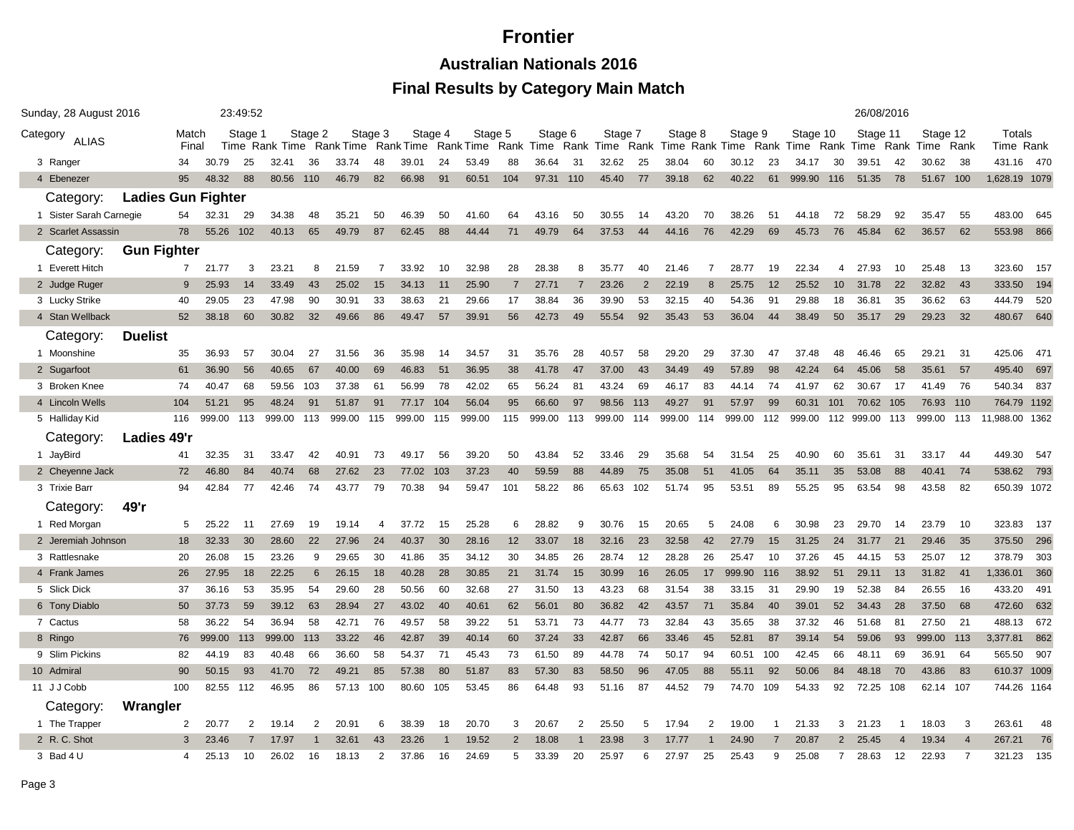**Australian Nationals 2016**

| Category<br><b>ALIAS</b><br>3 Ranger<br>4 Ebenezer<br>Category:<br>1 Sister Sarah Carnegie<br>2 Scarlet Assassin<br>Category:<br>1 Everett Hitch<br>2 Judge Ruger<br>3 Lucky Strike<br>4 Stan Wellback<br>Category:<br>1 Moonshine<br>2 Sugarfoot<br>3 Broken Knee<br>4 Lincoln Wells | <b>Ladies Gun Fighter</b><br><b>Gun Fighter</b><br>Duelist | Match<br>Final<br>34<br>95<br>54<br>78<br>$\overline{7}$<br>9<br>40<br>52<br>35<br>61 | 30.79<br>48.32<br>32.31<br>55.26<br>21.77<br>25.93<br>29.05<br>38.18<br>36.93 | Stage 1<br>25<br>88<br>29<br>102<br>3<br>14<br>23<br>60 | Time Rank Time<br>32.41<br>80.56 110<br>34.38<br>40.13<br>23.21<br>33.49<br>47.98<br>30.82 | Stage 2<br>36<br>48<br>65<br>8<br>43<br>90<br>32 | Rank Time Rank Time Rank Time Rank Time<br>33.74<br>46.79<br>35.21<br>49.79<br>21.59<br>25.02<br>30.91 | Stage 3<br>48<br>82<br>50<br>87<br>7<br>15 | 39.01<br>66.98<br>46.39<br>62.45<br>33.92<br>34.13 | Stage 4<br>24<br>91<br>50<br>88<br>10 | Stage 5<br>53.49<br>60.51<br>41.60<br>44.44<br>32.98 | 88<br>104<br>64<br>71 | Stage 6<br>36.64<br>97.31 110<br>43.16<br>49.79 | 31<br>50<br>64 | Stage 7<br>32.62<br>45.40<br>30.55<br>37.53 | 25<br>77<br>14<br>44 | Stage 8<br>38.04<br>39.18<br>43.20<br>44.16 | 60<br>62<br>70<br>76 | Stage 9<br>Rank Time Rank Time Rank Time Rank Time Rank Time Rank Time<br>30.12<br>40.22<br>38.26<br>42.29 | 23<br>61<br>51<br>69 | Stage 10<br>34.17<br>999.90<br>44.18<br>45.73 | 30<br>116<br>72<br>76 | Stage 11<br>39.51<br>51.35<br>58.29<br>45.84 | 42<br>78<br>92<br>62 | Stage 12<br>30.62<br>51.67<br>35.47<br>36.57 | Rank<br>-38<br>100<br>55<br>62 | Totals<br>Time Rank<br>431.16 470<br>1,628.19 1079<br>483.00<br>553.98 | 645<br>866                                                                                                                                                                                  |
|---------------------------------------------------------------------------------------------------------------------------------------------------------------------------------------------------------------------------------------------------------------------------------------|------------------------------------------------------------|---------------------------------------------------------------------------------------|-------------------------------------------------------------------------------|---------------------------------------------------------|--------------------------------------------------------------------------------------------|--------------------------------------------------|--------------------------------------------------------------------------------------------------------|--------------------------------------------|----------------------------------------------------|---------------------------------------|------------------------------------------------------|-----------------------|-------------------------------------------------|----------------|---------------------------------------------|----------------------|---------------------------------------------|----------------------|------------------------------------------------------------------------------------------------------------|----------------------|-----------------------------------------------|-----------------------|----------------------------------------------|----------------------|----------------------------------------------|--------------------------------|------------------------------------------------------------------------|---------------------------------------------------------------------------------------------------------------------------------------------------------------------------------------------|
|                                                                                                                                                                                                                                                                                       |                                                            |                                                                                       |                                                                               |                                                         |                                                                                            |                                                  |                                                                                                        |                                            |                                                    |                                       |                                                      |                       |                                                 |                |                                             |                      |                                             |                      |                                                                                                            |                      |                                               |                       |                                              |                      |                                              |                                |                                                                        |                                                                                                                                                                                             |
|                                                                                                                                                                                                                                                                                       |                                                            |                                                                                       |                                                                               |                                                         |                                                                                            |                                                  |                                                                                                        |                                            |                                                    |                                       |                                                      |                       |                                                 |                |                                             |                      |                                             |                      |                                                                                                            |                      |                                               |                       |                                              |                      |                                              |                                |                                                                        |                                                                                                                                                                                             |
|                                                                                                                                                                                                                                                                                       |                                                            |                                                                                       |                                                                               |                                                         |                                                                                            |                                                  |                                                                                                        |                                            |                                                    |                                       |                                                      |                       |                                                 |                |                                             |                      |                                             |                      |                                                                                                            |                      |                                               |                       |                                              |                      |                                              |                                |                                                                        |                                                                                                                                                                                             |
|                                                                                                                                                                                                                                                                                       |                                                            |                                                                                       |                                                                               |                                                         |                                                                                            |                                                  |                                                                                                        |                                            |                                                    |                                       |                                                      |                       |                                                 |                |                                             |                      |                                             |                      |                                                                                                            |                      |                                               |                       |                                              |                      |                                              |                                |                                                                        |                                                                                                                                                                                             |
|                                                                                                                                                                                                                                                                                       |                                                            |                                                                                       |                                                                               |                                                         |                                                                                            |                                                  |                                                                                                        |                                            |                                                    |                                       |                                                      |                       |                                                 |                |                                             |                      |                                             |                      |                                                                                                            |                      |                                               |                       |                                              |                      |                                              |                                |                                                                        |                                                                                                                                                                                             |
|                                                                                                                                                                                                                                                                                       |                                                            |                                                                                       |                                                                               |                                                         |                                                                                            |                                                  |                                                                                                        |                                            |                                                    |                                       |                                                      |                       |                                                 |                |                                             |                      |                                             |                      |                                                                                                            |                      |                                               |                       |                                              |                      |                                              |                                |                                                                        |                                                                                                                                                                                             |
|                                                                                                                                                                                                                                                                                       |                                                            |                                                                                       |                                                                               |                                                         |                                                                                            |                                                  |                                                                                                        |                                            |                                                    |                                       |                                                      |                       |                                                 |                |                                             |                      |                                             |                      |                                                                                                            |                      |                                               |                       |                                              |                      |                                              |                                |                                                                        |                                                                                                                                                                                             |
|                                                                                                                                                                                                                                                                                       |                                                            |                                                                                       |                                                                               |                                                         |                                                                                            |                                                  |                                                                                                        |                                            |                                                    |                                       |                                                      |                       |                                                 |                |                                             |                      |                                             |                      |                                                                                                            |                      |                                               |                       |                                              |                      |                                              |                                |                                                                        |                                                                                                                                                                                             |
|                                                                                                                                                                                                                                                                                       |                                                            |                                                                                       |                                                                               |                                                         |                                                                                            |                                                  |                                                                                                        |                                            |                                                    |                                       |                                                      | 28                    | 28.38                                           | 8              | 35.77                                       | 40                   | 21.46                                       | -7                   | 28.77                                                                                                      | 19                   | 22.34                                         | 4                     | 27.93                                        | 10                   | 25.48                                        | 13                             | 323.60                                                                 | 157                                                                                                                                                                                         |
|                                                                                                                                                                                                                                                                                       |                                                            |                                                                                       |                                                                               |                                                         |                                                                                            |                                                  |                                                                                                        |                                            |                                                    | 11                                    | 25.90                                                |                       | 27.71                                           | $\overline{7}$ | 23.26                                       | $\overline{2}$       | 22.19                                       | 8                    | 25.75                                                                                                      | 12                   | 25.52                                         | 10 <sup>°</sup>       | 31.78                                        | 22                   | 32.82                                        | 43                             | 333.50                                                                 | 194                                                                                                                                                                                         |
|                                                                                                                                                                                                                                                                                       |                                                            |                                                                                       |                                                                               |                                                         |                                                                                            |                                                  |                                                                                                        | 33                                         | 38.63                                              | 21                                    | 29.66                                                | 17                    | 38.84                                           | 36             | 39.90                                       | 53                   | 32.15                                       | 40                   | 54.36                                                                                                      | 91                   | 29.88                                         | 18                    | 36.81                                        | 35                   | 36.62                                        | 63                             | 444.79                                                                 | 520                                                                                                                                                                                         |
|                                                                                                                                                                                                                                                                                       |                                                            |                                                                                       |                                                                               |                                                         |                                                                                            |                                                  | 49.66                                                                                                  | 86                                         | 49.47                                              | 57                                    | 39.91                                                | 56                    | 42.73                                           | 49             | 55.54                                       | 92                   | 35.43                                       | 53                   | 36.04                                                                                                      | 44                   | 38.49                                         | 50                    | 35.17                                        | 29                   | 29.23                                        | 32                             | 480.67                                                                 | 640                                                                                                                                                                                         |
|                                                                                                                                                                                                                                                                                       |                                                            |                                                                                       |                                                                               |                                                         |                                                                                            |                                                  |                                                                                                        |                                            |                                                    |                                       |                                                      |                       |                                                 |                |                                             |                      |                                             |                      |                                                                                                            |                      |                                               |                       |                                              |                      |                                              |                                |                                                                        |                                                                                                                                                                                             |
|                                                                                                                                                                                                                                                                                       |                                                            |                                                                                       |                                                                               | 57                                                      | 30.04                                                                                      | 27                                               | 31.56                                                                                                  | 36                                         | 35.98                                              | 14                                    | 34.57                                                | 31                    | 35.76                                           | 28             | 40.57                                       | 58                   | 29.20                                       | 29                   | 37.30                                                                                                      | 47                   | 37.48                                         | 48                    | 46.46                                        | 65                   | 29.21                                        | 31                             | 425.06                                                                 | -471                                                                                                                                                                                        |
|                                                                                                                                                                                                                                                                                       |                                                            |                                                                                       | 36.90                                                                         | 56                                                      | 40.65                                                                                      | 67                                               | 40.00                                                                                                  | 69                                         | 46.83                                              | 51                                    | 36.95                                                | 38                    | 41.78                                           | 47             | 37.00                                       | 43                   | 34.49                                       | 49                   | 57.89                                                                                                      | 98                   | 42.24                                         | 64                    | 45.06                                        | 58                   | 35.61                                        | 57                             | 495.40                                                                 | 697                                                                                                                                                                                         |
|                                                                                                                                                                                                                                                                                       |                                                            | 74                                                                                    | 40.47                                                                         | 68                                                      | 59.56                                                                                      | 103                                              | 37.38                                                                                                  | 61                                         | 56.99                                              | 78                                    | 42.02                                                | 65                    | 56.24                                           | 81             | 43.24                                       | 69                   | 46.17                                       | 83                   | 44.14                                                                                                      | 74                   | 41.97                                         | 62                    | 30.67                                        | 17                   | 41.49                                        | 76                             | 540.34                                                                 | 837                                                                                                                                                                                         |
|                                                                                                                                                                                                                                                                                       |                                                            | 104                                                                                   | 51.21                                                                         | 95                                                      | 48.24                                                                                      | 91                                               | 51.87                                                                                                  | 91                                         | 77.17                                              | 104                                   | 56.04                                                | 95                    | 66.60                                           | 97             | 98.56                                       | 113                  | 49.27                                       | 91                   | 57.97                                                                                                      | 99                   | 60.31                                         | 101                   | 70.62                                        | 105                  | 76.93                                        | 110                            | 764.79 1192                                                            |                                                                                                                                                                                             |
| 5 Halliday Kid                                                                                                                                                                                                                                                                        |                                                            | 116                                                                                   | 999.00                                                                        | 113                                                     | 999.00                                                                                     | 113                                              | 999.00                                                                                                 | 115                                        | 999.00                                             | 115                                   | 999.00                                               | 115                   | 999.00                                          | 113            | 999.00                                      | 114                  | 999.00                                      | 114                  | 999.00                                                                                                     | 112                  | 999.00                                        | 112                   | 999.00                                       | 113                  | 999.00                                       | 113                            | 11.988.00 1362                                                         |                                                                                                                                                                                             |
| Category:                                                                                                                                                                                                                                                                             | Ladies 49'r                                                |                                                                                       |                                                                               |                                                         |                                                                                            |                                                  |                                                                                                        |                                            |                                                    |                                       |                                                      |                       |                                                 |                |                                             |                      |                                             |                      |                                                                                                            |                      |                                               |                       |                                              |                      |                                              |                                |                                                                        |                                                                                                                                                                                             |
| 1 JayBird                                                                                                                                                                                                                                                                             |                                                            | 41                                                                                    | 32.35                                                                         | 31                                                      | 33.47                                                                                      | 42                                               | 40.91                                                                                                  | 73                                         | 49.17                                              | 56                                    | 39.20                                                | 50                    | 43.84                                           | 52             | 33.46                                       | 29                   | 35.68                                       | 54                   | 31.54                                                                                                      | 25                   | 40.90                                         | 60                    | 35.61                                        | 31                   | 33.17                                        | 44                             | 449.30                                                                 | 547                                                                                                                                                                                         |
| 2 Cheyenne Jack                                                                                                                                                                                                                                                                       |                                                            | 72                                                                                    | 46.80                                                                         | 84                                                      | 40.74                                                                                      | 68                                               | 27.62                                                                                                  | 23                                         | 77.02                                              | 103                                   | 37.23                                                | 40                    | 59.59                                           | 88             | 44.89                                       | 75                   | 35.08                                       | 51                   | 41.05                                                                                                      | 64                   | 35.11                                         | 35                    | 53.08                                        | 88                   | 40.41                                        | 74                             | 538.62                                                                 | 793                                                                                                                                                                                         |
| 3 Trixie Barr                                                                                                                                                                                                                                                                         |                                                            | 94                                                                                    | 42.84                                                                         | 77                                                      | 42.46                                                                                      | 74                                               | 43.77                                                                                                  | 79                                         | 70.38                                              | 94                                    | 59.47                                                | 101                   | 58.22                                           | 86             | 65.63                                       | 102                  | 51.74                                       | 95                   | 53.51                                                                                                      | 89                   | 55.25                                         | 95                    | 63.54                                        | 98                   | 43.58                                        | 82                             | 650.39 1072                                                            |                                                                                                                                                                                             |
| Category:                                                                                                                                                                                                                                                                             | 49'r                                                       |                                                                                       |                                                                               |                                                         |                                                                                            |                                                  |                                                                                                        |                                            |                                                    |                                       |                                                      |                       |                                                 |                |                                             |                      |                                             |                      |                                                                                                            |                      |                                               |                       |                                              |                      |                                              |                                |                                                                        |                                                                                                                                                                                             |
| 1 Red Morgan                                                                                                                                                                                                                                                                          |                                                            | 5                                                                                     | 25.22                                                                         | 11                                                      | 27.69                                                                                      | 19                                               | 19.14                                                                                                  | 4                                          | 37.72                                              | 15                                    | 25.28                                                | 6                     | 28.82                                           | 9              | 30.76                                       | 15                   | 20.65                                       | 5                    | 24.08                                                                                                      | 6                    | 30.98                                         | 23                    | 29.70                                        | 14                   | 23.79                                        | 10                             | 323.83                                                                 | 137                                                                                                                                                                                         |
| 2 Jeremiah Johnson                                                                                                                                                                                                                                                                    |                                                            | 18                                                                                    | 32.33                                                                         | 30                                                      | 28.60                                                                                      | 22                                               | 27.96                                                                                                  | 24                                         | 40.37                                              | 30                                    | 28.16                                                | 12                    | 33.07                                           | 18             | 32.16                                       | 23                   | 32.58                                       | 42                   | 27.79                                                                                                      | 15                   | 31.25                                         | 24                    | 31.77                                        | 21                   | 29.46                                        | 35                             | 375.50                                                                 | 296                                                                                                                                                                                         |
| 3 Rattlesnake                                                                                                                                                                                                                                                                         |                                                            | 20                                                                                    | 26.08                                                                         | 15                                                      | 23.26                                                                                      | 9                                                | 29.65                                                                                                  | 30                                         | 41.86                                              | 35                                    | 34.12                                                | 30                    | 34.85                                           | 26             | 28.74                                       | 12                   | 28.28                                       | 26                   | 25.47                                                                                                      | 10                   | 37.26                                         | 45                    | 44.15                                        | 53                   | 25.07                                        | 12                             | 378.79                                                                 | 303                                                                                                                                                                                         |
| 4 Frank James                                                                                                                                                                                                                                                                         |                                                            | 26                                                                                    | 27.95                                                                         | 18                                                      | 22.25                                                                                      | 6                                                | 26.15                                                                                                  | 18                                         | 40.28                                              | 28                                    | 30.85                                                | 21                    | 31.74                                           | 15             | 30.99                                       | 16                   | 26.05                                       | 17                   | 999.90                                                                                                     | 116                  | 38.92                                         | 51                    | 29.11                                        | 13                   | 31.82                                        | 41                             | 1,336.01                                                               | 360                                                                                                                                                                                         |
| 5 Slick Dick                                                                                                                                                                                                                                                                          |                                                            | 37                                                                                    | 36.16                                                                         | 53                                                      | 35.95                                                                                      | 54                                               | 29.60                                                                                                  | 28                                         | 50.56                                              | 60                                    | 32.68                                                | 27                    | 31.50                                           | 13             | 43.23                                       | 68                   | 31.54                                       | 38                   | 33.15                                                                                                      | 31                   | 29.90                                         | 19                    | 52.38                                        | 84                   | 26.55                                        | 16                             | 433.20                                                                 | 491                                                                                                                                                                                         |
| 6 Tony Diablo                                                                                                                                                                                                                                                                         |                                                            | 50                                                                                    | 37.73                                                                         | 59                                                      | 39.12                                                                                      | 63                                               | 28.94                                                                                                  | 27                                         | 43.02                                              | 40                                    | 40.61                                                | 62                    | 56.01                                           | 80             | 36.82                                       | 42                   | 43.57                                       | 71                   | 35.84                                                                                                      | 40                   | 39.01                                         | 52                    | 34.43                                        | 28                   | 37.50                                        | 68                             | 472.60                                                                 | 632                                                                                                                                                                                         |
| 7 Cactus                                                                                                                                                                                                                                                                              |                                                            | 58                                                                                    | 36.22                                                                         | 54                                                      | 36.94                                                                                      | 58                                               | 42.71                                                                                                  | 76                                         | 49.57                                              | 58                                    | 39.22                                                | 51                    | 53.71                                           | 73             | 44.77                                       | 73                   | 32.84                                       | 43                   | 35.65                                                                                                      | 38                   | 37.32                                         | 46                    | 51.68                                        | 81                   | 27.50                                        | 21                             | 488.13                                                                 | 672                                                                                                                                                                                         |
| 8 Ringo                                                                                                                                                                                                                                                                               |                                                            | 76                                                                                    |                                                                               |                                                         | 999.00                                                                                     | 113                                              | 33.22                                                                                                  | 46                                         | 42.87                                              | 39                                    | 40.14                                                | 60                    | 37.24                                           | 33             | 42.87                                       | 66                   | 33.46                                       | 45                   | 52.81                                                                                                      | 87                   | 39.14                                         | 54                    | 59.06                                        | 93                   | 999.00                                       | 113                            | 3,377.81                                                               | 862                                                                                                                                                                                         |
| 9 Slim Pickins                                                                                                                                                                                                                                                                        |                                                            | 82                                                                                    | 44.19                                                                         | 83                                                      | 40.48                                                                                      | 66                                               | 36.60                                                                                                  | 58                                         | 54.37                                              | 71                                    | 45.43                                                | 73                    | 61.50                                           | 89             | 44.78                                       | 74                   | 50.17                                       | 94                   | 60.51                                                                                                      |                      | 42.45                                         | 66                    | 48.11                                        | 69                   | 36.91                                        | 64                             | 565.50                                                                 | 907                                                                                                                                                                                         |
| 10 Admiral                                                                                                                                                                                                                                                                            |                                                            | 90                                                                                    | 50.15                                                                         | 93                                                      | 41.70                                                                                      | 72                                               | 49.21                                                                                                  | 85                                         | 57.38                                              | 80                                    | 51.87                                                | 83                    | 57.30                                           | 83             | 58.50                                       | 96                   | 47.05                                       | 88                   | 55.11                                                                                                      | 92                   | 50.06                                         | 84                    | 48.18                                        | 70                   | 43.86                                        | 83                             |                                                                        |                                                                                                                                                                                             |
| 11 J J Cobb                                                                                                                                                                                                                                                                           |                                                            |                                                                                       | 82.55                                                                         |                                                         | 46.95                                                                                      | 86                                               | 57.13                                                                                                  | 100                                        | 80.60                                              | 105                                   | 53.45                                                | 86                    | 64.48                                           | 93             | 51.16                                       | 87                   | 44.52                                       | 79                   | 74.70                                                                                                      |                      | 54.33                                         | 92                    | 72.25                                        |                      | 62.14                                        |                                |                                                                        |                                                                                                                                                                                             |
|                                                                                                                                                                                                                                                                                       |                                                            |                                                                                       |                                                                               |                                                         |                                                                                            |                                                  |                                                                                                        |                                            |                                                    |                                       |                                                      |                       |                                                 |                |                                             |                      |                                             |                      |                                                                                                            |                      |                                               |                       |                                              |                      |                                              |                                |                                                                        |                                                                                                                                                                                             |
| 1 The Trapper                                                                                                                                                                                                                                                                         |                                                            | 2                                                                                     | 20.77                                                                         | 2                                                       | 19.14                                                                                      | 2                                                | 20.91                                                                                                  | 6                                          | 38.39                                              |                                       | 20.70                                                | 3                     | 20.67                                           | $\overline{2}$ | 25.50                                       | 5                    | 17.94                                       | $\overline{2}$       | 19.00                                                                                                      |                      | 21.33                                         | 3                     | 21.23                                        | -1                   | 18.03                                        | 3                              | 263.61                                                                 | 48                                                                                                                                                                                          |
|                                                                                                                                                                                                                                                                                       |                                                            | 3                                                                                     | 23.46                                                                         | $\overline{7}$                                          | 17.97                                                                                      |                                                  | 32.61                                                                                                  | 43                                         | 23.26                                              |                                       | 19.52                                                | $\overline{2}$        | 18.08                                           |                | 23.98                                       | 3                    | 17.77                                       |                      | 24.90                                                                                                      |                      | 20.87                                         | 2                     | 25.45                                        | $\overline{4}$       | 19.34                                        | $\overline{4}$                 | 267.21                                                                 | 76                                                                                                                                                                                          |
| 2 R.C. Shot                                                                                                                                                                                                                                                                           |                                                            |                                                                                       |                                                                               | 10                                                      | 26.02                                                                                      | 16                                               | 18.13                                                                                                  |                                            |                                                    |                                       |                                                      |                       |                                                 |                |                                             |                      |                                             |                      |                                                                                                            |                      |                                               |                       |                                              |                      |                                              |                                |                                                                        | 135                                                                                                                                                                                         |
|                                                                                                                                                                                                                                                                                       | Category:                                                  |                                                                                       | 100<br>Wrangler<br>$\Delta$                                                   | 999.00<br>3 Bad 4 U<br>25.13                            | 113<br>112                                                                                 |                                                  |                                                                                                        |                                            |                                                    |                                       | 18                                                   |                       |                                                 |                |                                             |                      |                                             |                      |                                                                                                            |                      | 100<br>109                                    |                       |                                              |                      | 108                                          | $\overline{7}$<br>9            | 107                                                                    | 610.37 1009<br>744.26 1164<br>$\overline{2}$<br>37.86<br>24.69<br>33.39<br>20<br>25.97<br>27.97<br>25<br>25.43<br>25.08<br>28.63<br>22.93<br>$\overline{7}$<br>321.23<br>16<br>5<br>6<br>12 |